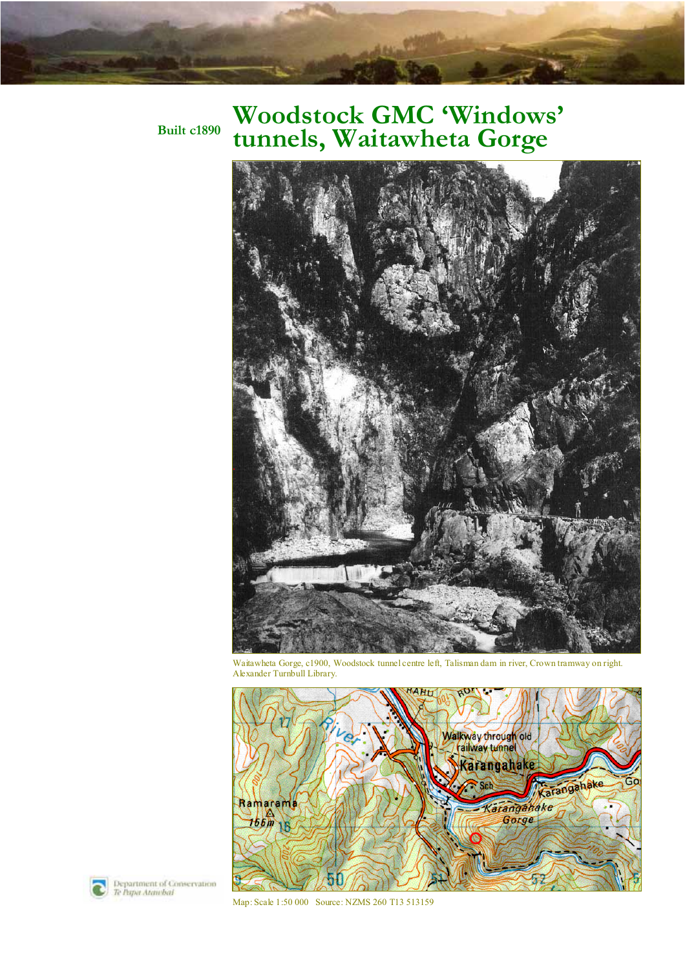## **Woodstock GMC 'Windows' tunnels, Waitawheta Gorge**

**Built c1890**



Waitawheta Gorge, c1900, Woodstock tunnel centre left, Talisman dam in river, Crown tramway on right. Alexander Turnbull Library.



Department of Conservation<br>Te Papa Atawbal

Map: Scale 1:50 000 Source: NZMS 260 T13 513159